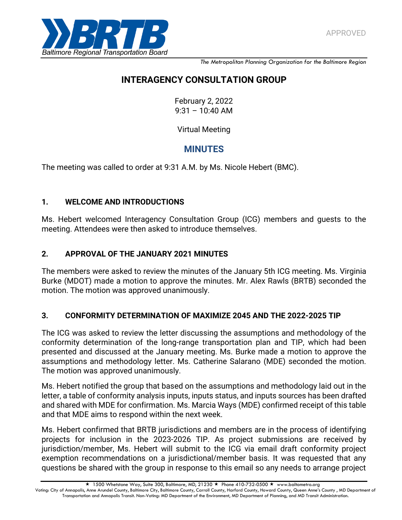

*The Metropolitan Planning Organization for the Baltimore Region*

# **INTERAGENCY CONSULTATION GROUP**

February 2, 2022  $9:31 - 10:40$  AM

Virtual Meeting

# **MINUTES**

The meeting was called to order at 9:31 A.M. by Ms. Nicole Hebert (BMC).

## **1. WELCOME AND INTRODUCTIONS**

Ms. Hebert welcomed Interagency Consultation Group (ICG) members and guests to the meeting. Attendees were then asked to introduce themselves.

## **2. APPROVAL OF THE JANUARY 2021 MINUTES**

The members were asked to review the minutes of the January 5th ICG meeting. Ms. Virginia Burke (MDOT) made a motion to approve the minutes. Mr. Alex Rawls (BRTB) seconded the motion. The motion was approved unanimously.

## **3. CONFORMITY DETERMINATION OF MAXIMIZE 2045 AND THE 2022-2025 TIP**

The ICG was asked to review the letter discussing the assumptions and methodology of the conformity determination of the long-range transportation plan and TIP, which had been presented and discussed at the January meeting. Ms. Burke made a motion to approve the assumptions and methodology letter. Ms. Catherine Salarano (MDE) seconded the motion. The motion was approved unanimously.

Ms. Hebert notified the group that based on the assumptions and methodology laid out in the letter, a table of conformity analysis inputs, inputs status, and inputs sources has been drafted and shared with MDE for confirmation. Ms. Marcia Ways (MDE) confirmed receipt of this table and that MDE aims to respond within the next week.

Ms. Hebert confirmed that BRTB jurisdictions and members are in the process of identifying projects for inclusion in the 2023-2026 TIP. As project submissions are received by jurisdiction/member, Ms. Hebert will submit to the ICG via email draft conformity project exemption recommendations on a jurisdictional/member basis. It was requested that any questions be shared with the group in response to this email so any needs to arrange project

 $\star$  1500 Whetstone Way, Suite 300, Baltimore, MD, 21230  $\star$  Phone 410-732-0500  $\star$  www.baltometro.org Voting: City of Annapolis, Anne Arundel County, Baltimore City, Baltimore County, Carroll County, Harford County, Howard County, Queen Anne's County, MD Department of Transportation and Annapolis Transit. Non-Voting: MD Department of the Environment, MD Department of Planning, and MD Transit Administration.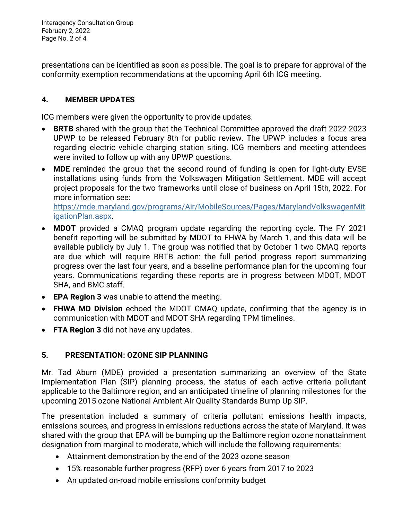Interagency Consultation Group February 2, 2022 Page No. 2 of 4

presentations can be identified as soon as possible. The goal is to prepare for approval of the conformity exemption recommendations at the upcoming April 6th ICG meeting.

## **4. MEMBER UPDATES**

ICG members were given the opportunity to provide updates.

- **BRTB** shared with the group that the Technical Committee approved the draft 2022-2023 UPWP to be released February 8th for public review. The UPWP includes a focus area regarding electric vehicle charging station siting. ICG members and meeting attendees were invited to follow up with any UPWP questions.
- **MDE** reminded the group that the second round of funding is open for light-duty EVSE installations using funds from the Volkswagen Mitigation Settlement. MDE will accept project proposals for the two frameworks until close of business on April 15th, 2022. For more information see:

[https://mde.maryland.gov/programs/Air/MobileSources/Pages/MarylandVolkswagenMit](https://mde.maryland.gov/programs/Air/MobileSources/Pages/MarylandVolkswagenMitigationPlan.aspx) [igationPlan.aspx.](https://mde.maryland.gov/programs/Air/MobileSources/Pages/MarylandVolkswagenMitigationPlan.aspx)

- **MDOT** provided a CMAQ program update regarding the reporting cycle. The FY 2021 benefit reporting will be submitted by MDOT to FHWA by March 1, and this data will be available publicly by July 1. The group was notified that by October 1 two CMAQ reports are due which will require BRTB action: the full period progress report summarizing progress over the last four years, and a baseline performance plan for the upcoming four years. Communications regarding these reports are in progress between MDOT, MDOT SHA, and BMC staff.
- **EPA Region 3** was unable to attend the meeting.
- **FHWA MD Division** echoed the MDOT CMAQ update, confirming that the agency is in communication with MDOT and MDOT SHA regarding TPM timelines.
- **FTA Region 3** did not have any updates.

### **5. PRESENTATION: OZONE SIP PLANNING**

Mr. Tad Aburn (MDE) provided a presentation summarizing an overview of the State Implementation Plan (SIP) planning process, the status of each active criteria pollutant applicable to the Baltimore region, and an anticipated timeline of planning milestones for the upcoming 2015 ozone National Ambient Air Quality Standards Bump Up SIP.

The presentation included a summary of criteria pollutant emissions health impacts, emissions sources, and progress in emissions reductions across the state of Maryland. It was shared with the group that EPA will be bumping up the Baltimore region ozone nonattainment designation from marginal to moderate, which will include the following requirements:

- Attainment demonstration by the end of the 2023 ozone season
- 15% reasonable further progress (RFP) over 6 years from 2017 to 2023
- An updated on-road mobile emissions conformity budget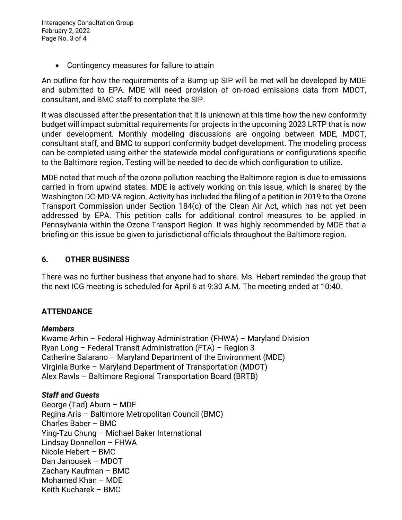Interagency Consultation Group February 2, 2022 Page No. 3 of 4

Contingency measures for failure to attain

An outline for how the requirements of a Bump up SIP will be met will be developed by MDE and submitted to EPA. MDE will need provision of on-road emissions data from MDOT, consultant, and BMC staff to complete the SIP.

It was discussed after the presentation that it is unknown at this time how the new conformity budget will impact submittal requirements for projects in the upcoming 2023 LRTP that is now under development. Monthly modeling discussions are ongoing between MDE, MDOT, consultant staff, and BMC to support conformity budget development. The modeling process can be completed using either the statewide model configurations or configurations specific to the Baltimore region. Testing will be needed to decide which configuration to utilize.

MDE noted that much of the ozone pollution reaching the Baltimore region is due to emissions carried in from upwind states. MDE is actively working on this issue, which is shared by the Washington DC-MD-VA region. Activity has included the filing of a petition in 2019 to the Ozone Transport Commission under Section 184(c) of the Clean Air Act, which has not yet been addressed by EPA. This petition calls for additional control measures to be applied in Pennsylvania within the Ozone Transport Region. It was highly recommended by MDE that a briefing on this issue be given to jurisdictional officials throughout the Baltimore region.

#### **6. OTHER BUSINESS**

There was no further business that anyone had to share. Ms. Hebert reminded the group that the next ICG meeting is scheduled for April 6 at 9:30 A.M. The meeting ended at 10:40.

### **ATTENDANCE**

#### *Members*

Kwame Arhin – Federal Highway Administration (FHWA) – Maryland Division Ryan Long – Federal Transit Administration (FTA) – Region 3 Catherine Salarano – Maryland Department of the Environment (MDE) Virginia Burke – Maryland Department of Transportation (MDOT) Alex Rawls – Baltimore Regional Transportation Board (BRTB)

#### *Staff and Guests*

George (Tad) Aburn – MDE Regina Aris – Baltimore Metropolitan Council (BMC) Charles Baber – BMC Ying-Tzu Chung – Michael Baker International Lindsay Donnellon – FHWA Nicole Hebert – BMC Dan Janousek – MDOT Zachary Kaufman – BMC Mohamed Khan – MDE Keith Kucharek – BMC